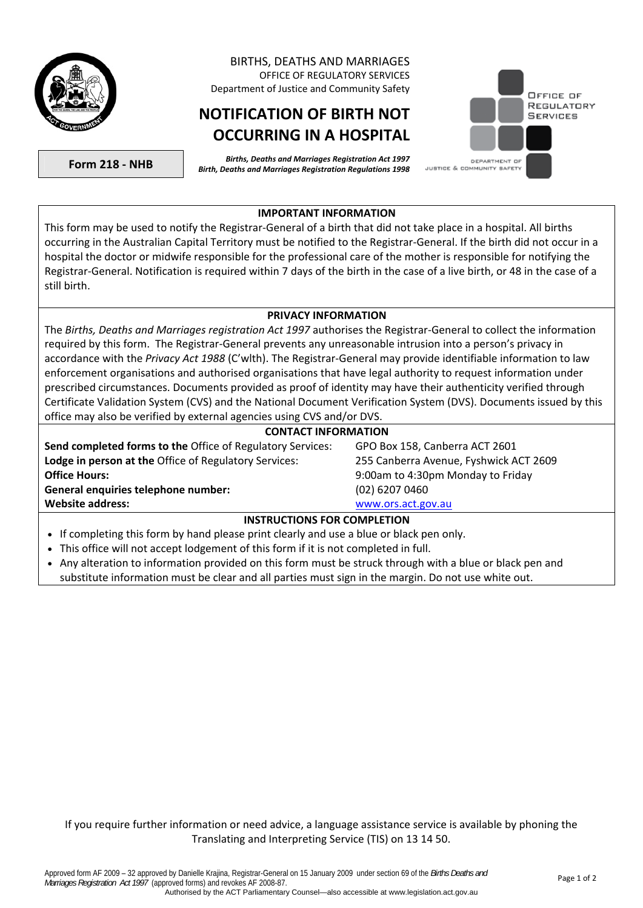

### BIRTHS, DEATHS AND MARRIAGES OFFICE OF REGULATORY SERVICES Department of Justice and Community Safety

# **NOTIFICATION OF BIRTH NOT OCCURRING IN A HOSPITAL**

**Form 218 - NHB** *Births, Deaths and Marriages Registration Act 1997 Birth, Deaths and Marriages Registration Regulations 1998* 



#### **IMPORTANT INFORMATION**

This form may be used to notify the Registrar-General of a birth that did not take place in a hospital. All births occurring in the Australian Capital Territory must be notified to the Registrar-General. If the birth did not occur in a hospital the doctor or midwife responsible for the professional care of the mother is responsible for notifying the Registrar-General. Notification is required within 7 days of the birth in the case of a live birth, or 48 in the case of a still birth.

#### **PRIVACY INFORMATION**

The *Births, Deaths and Marriages registration Act 1997* authorises the Registrar-General to collect the information required by this form. The Registrar-General prevents any unreasonable intrusion into a person's privacy in accordance with the *Privacy Act 1988* (C'wlth). The Registrar-General may provide identifiable information to law enforcement organisations and authorised organisations that have legal authority to request information under prescribed circumstances. Documents provided as proof of identity may have their authenticity verified through Certificate Validation System (CVS) and the National Document Verification System (DVS). Documents issued by this office may also be verified by external agencies using CVS and/or DVS.

| <b>CONTACT INFORMATION</b> |  |
|----------------------------|--|

**Send completed forms to the** Office of Regulatory Services: GPO Box 158, Canberra ACT 2601 **Lodge in person at the** Office of Regulatory Services: 255 Canberra Avenue, Fyshwick ACT 2609 **Office Hours:** 9:00am to 4:30pm Monday to Friday **General enquiries telephone number:** (02) 6207 0460 **Website address:** [www.ors.act.gov.au](http://www.ors.act.gov.au/) 

### **INSTRUCTIONS FOR COMPLETION**

- If completing this form by hand please print clearly and use a blue or black pen only.
- This office will not accept lodgement of this form if it is not completed in full.
- Any alteration to information provided on this form must be struck through with a blue or black pen and substitute information must be clear and all parties must sign in the margin. Do not use white out.

If you require further information or need advice, a language assistance service is available by phoning the Translating and Interpreting Service (TIS) on 13 14 50.